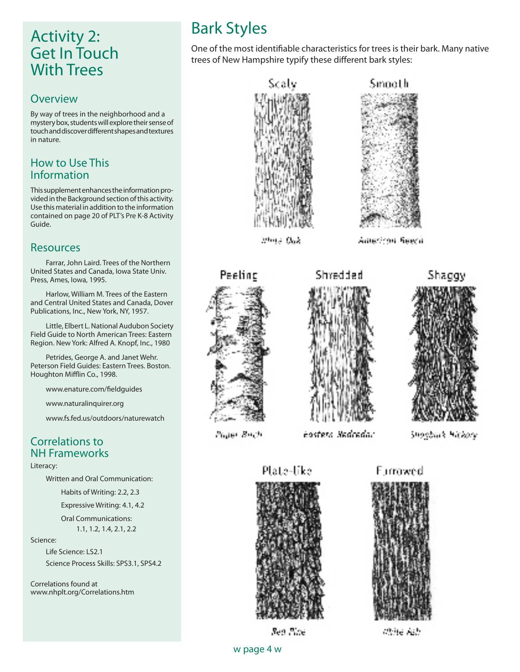## Activity 2: Get In Touch With Trees

#### **Overview**

By way of trees in the neighborhood and a mystery box, students will explore their sense of touch and discover different shapes and textures in nature.

#### How to Use This Information

This supplement enhances the information provided in the Background section of this activity. Use this material in addition to the information contained on page 20 of PLT's Pre K-8 Activity Guide.

#### **Resources**

Farrar, John Laird. Trees of the Northern United States and Canada, Iowa State Univ. Press, Ames, Iowa, 1995.

Harlow, William M. Trees of the Eastern and Central United States and Canada, Dover Publications, Inc., New York, NY, 1957.

Little, Elbert L. National Audubon Society Field Guide to North American Trees: Eastern Region. New York: Alfred A. Knopf, Inc., 1980

Petrides, George A. and Janet Wehr. Peterson Field Guides: Eastern Trees. Boston. Houghton Mifflin Co., 1998.

www.enature.com/fieldguides

www.naturalinquirer.org

www.fs.fed.us/outdoors/naturewatch

### Correlations to NH Frameworks

Literacy:

Written and Oral Communication:

Habits of Writing: 2.2, 2.3

Expressive Writing: 4.1, 4.2

Oral Communications:

1.1, 1.2, 1.4, 2.1, 2.2

#### Science:

 Life Science: LS2.1 Science Process Skills: SPS3.1, SPS4.2

Correlations found at www.nhplt.org/Correlations.htm

# Bark Styles

One of the most identifiable characteristics for trees is their bark. Many native trees of New Hampshire typify these different bark styles:





Antericon Reech







Eastern Redredor



w page 4 w









Wile Ash